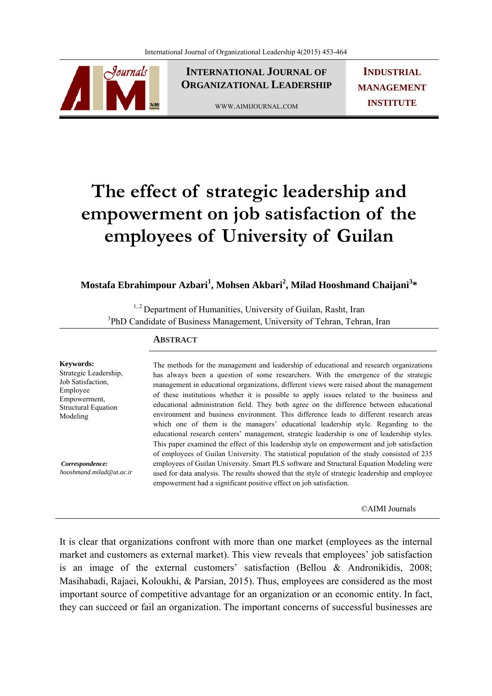

**INTERNATIONAL JOURNAL OF ORGANIZATIONAL LEADERSHIP**

WWW.AIMIJOURNAL.COM

**INDUSTRIAL MANAGEMENT INSTITUTE**

# **The effect of strategic leadership and empowerment on job satisfaction of the employees of University of Guilan**

## **Mostafa Ebrahimpour Azbari<sup>1</sup> , Mohsen Akbari<sup>2</sup> , Milad Hooshmand Chaijani<sup>3</sup> \***

<sup>1, 2</sup> Department of Humanities, University of Guilan, Rasht, Iran <sup>3</sup>PhD Candidate of Business Management, University of Tehran, Tehran, Iran

## **ABSTRACT**

**Keywords:**  Strategic Leadership, Job Satisfaction, Employee Empowerment, Structural Equation Modeling

 *Correspondence: hooshmand.milad@ut.ac.ir*

The methods for the management and leadership of educational and research organizations has always been a question of some researchers. With the emergence of the strategic management in educational organizations, different views were raised about the management of these institutions whether it is possible to apply issues related to the business and educational administration field. They both agree on the difference between educational environment and business environment. This difference leads to different research areas which one of them is the managers' educational leadership style. Regarding to the educational research centers' management, strategic leadership is one of leadership styles. This paper examined the effect of this leadership style on empowerment and job satisfaction of employees of Guilan University. The statistical population of the study consisted of 235 employees of Guilan University. Smart PLS software and Structural Equation Modeling were used for data analysis. The results showed that the style of strategic leadership and employee empowerment had a significant positive effect on job satisfaction.

©AIMI Journals

It is clear that organizations confront with more than one market (employees as the internal market and customers as external market). This view reveals that employees' job satisfaction is an image of the external customers' satisfaction (Bellou & Andronikidis, 2008; Masihabadi, Rajaei, Koloukhi, & Parsian, 2015). Thus, employees are considered as the most important source of competitive advantage for an organization or an economic entity. In fact, they can succeed or fail an organization. The important concerns of successful businesses are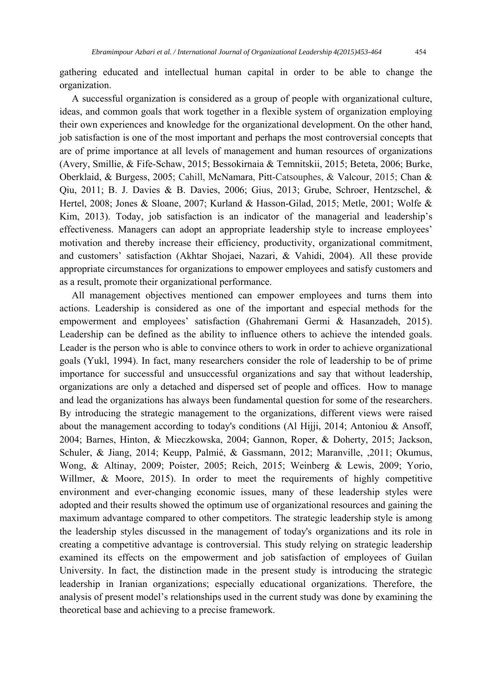gathering educated and intellectual human capital in order to be able to change the organization.

 A successful organization is considered as a group of people with organizational culture, ideas, and common goals that work together in a flexible system of organization employing their own experiences and knowledge for the organizational development. On the other hand, job satisfaction is one of the most important and perhaps the most controversial concepts that are of prime importance at all levels of management and human resources of organizations (Avery, Smillie, & Fife-Schaw, 2015; Bessokirnaia & Temnitskii, 2015; Beteta, 2006; Burke, Oberklaid, & Burgess, 2005; Cahill, McNamara, Pitt-Catsouphes, & Valcour, 2015; Chan & Qiu, 2011; B. J. Davies & B. Davies, 2006; Gius, 2013; Grube, Schroer, Hentzschel, & Hertel, 2008; Jones & Sloane, 2007; Kurland & Hasson-Gilad, 2015; Metle, 2001; Wolfe & Kim, 2013). Today, job satisfaction is an indicator of the managerial and leadership's effectiveness. Managers can adopt an appropriate leadership style to increase employees' motivation and thereby increase their efficiency, productivity, organizational commitment, and customers' satisfaction (Akhtar Shojaei, Nazari, & Vahidi, 2004). All these provide appropriate circumstances for organizations to empower employees and satisfy customers and as a result, promote their organizational performance.

 All management objectives mentioned can empower employees and turns them into actions. Leadership is considered as one of the important and especial methods for the empowerment and employees' satisfaction (Ghahremani Germi & Hasanzadeh, 2015). Leadership can be defined as the ability to influence others to achieve the intended goals. Leader is the person who is able to convince others to work in order to achieve organizational goals (Yukl, 1994). In fact, many researchers consider the role of leadership to be of prime importance for successful and unsuccessful organizations and say that without leadership, organizations are only a detached and dispersed set of people and offices. How to manage and lead the organizations has always been fundamental question for some of the researchers. By introducing the strategic management to the organizations, different views were raised about the management according to today's conditions (Al Hijji, 2014; Antoniou & Ansoff, 2004; Barnes, Hinton, & Mieczkowska, 2004; Gannon, Roper, & Doherty, 2015; Jackson, Schuler, & Jiang, 2014; Keupp, Palmié, & Gassmann, 2012; Maranville, ,2011; Okumus, Wong, & Altinay, 2009; Poister, 2005; Reich, 2015; Weinberg & Lewis, 2009; Yorio, Willmer, & Moore, 2015). In order to meet the requirements of highly competitive environment and ever-changing economic issues, many of these leadership styles were adopted and their results showed the optimum use of organizational resources and gaining the maximum advantage compared to other competitors. The strategic leadership style is among the leadership styles discussed in the management of today's organizations and its role in creating a competitive advantage is controversial. This study relying on strategic leadership examined its effects on the empowerment and job satisfaction of employees of Guilan University. In fact, the distinction made in the present study is introducing the strategic leadership in Iranian organizations; especially educational organizations. Therefore, the analysis of present model's relationships used in the current study was done by examining the theoretical base and achieving to a precise framework.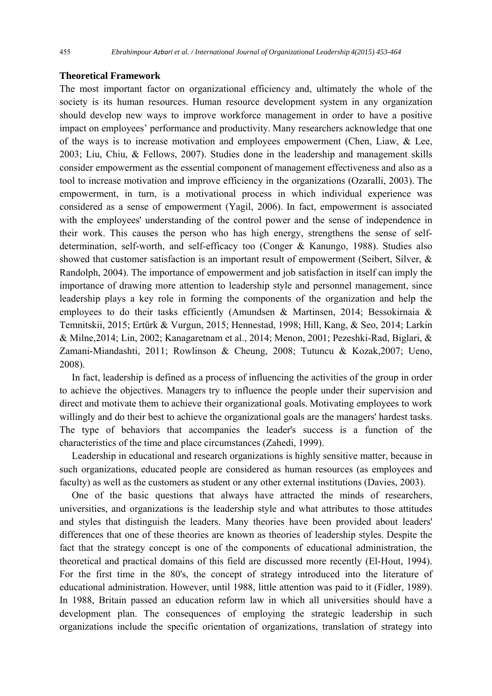## **Theoretical Framework**

The most important factor on organizational efficiency and, ultimately the whole of the society is its human resources. Human resource development system in any organization should develop new ways to improve workforce management in order to have a positive impact on employees' performance and productivity. Many researchers acknowledge that one of the ways is to increase motivation and employees empowerment (Chen, Liaw, & Lee, 2003; Liu, Chiu, & Fellows, 2007). Studies done in the leadership and management skills consider empowerment as the essential component of management effectiveness and also as a tool to increase motivation and improve efficiency in the organizations (Ozaralli, 2003). The empowerment, in turn, is a motivational process in which individual experience was considered as a sense of empowerment (Yagil, 2006). In fact, empowerment is associated with the employees' understanding of the control power and the sense of independence in their work. This causes the person who has high energy, strengthens the sense of selfdetermination, self-worth, and self-efficacy too (Conger & Kanungo, 1988). Studies also showed that customer satisfaction is an important result of empowerment (Seibert, Silver, & Randolph, 2004). The importance of empowerment and job satisfaction in itself can imply the importance of drawing more attention to leadership style and personnel management, since leadership plays a key role in forming the components of the organization and help the employees to do their tasks efficiently (Amundsen & Martinsen, 2014; Bessokirnaia & Temnitskii, 2015; Ertürk & Vurgun, 2015; Hennestad, 1998; Hill, Kang, & Seo, 2014; Larkin & Milne,2014; Lin, 2002; Kanagaretnam et al., 2014; Menon, 2001; Pezeshki-Rad, Biglari, & Zamani-Miandashti, 2011; Rowlinson & Cheung, 2008; Tutuncu & Kozak,2007; Ueno, 2008).

 In fact, leadership is defined as a process of influencing the activities of the group in order to achieve the objectives. Managers try to influence the people under their supervision and direct and motivate them to achieve their organizational goals. Motivating employees to work willingly and do their best to achieve the organizational goals are the managers' hardest tasks. The type of behaviors that accompanies the leader's success is a function of the characteristics of the time and place circumstances (Zahedi, 1999).

 Leadership in educational and research organizations is highly sensitive matter, because in such organizations, educated people are considered as human resources (as employees and faculty) as well as the customers as student or any other external institutions (Davies, 2003).

 One of the basic questions that always have attracted the minds of researchers, universities, and organizations is the leadership style and what attributes to those attitudes and styles that distinguish the leaders. Many theories have been provided about leaders' differences that one of these theories are known as theories of leadership styles. Despite the fact that the strategy concept is one of the components of educational administration, the theoretical and practical domains of this field are discussed more recently (El-Hout, 1994). For the first time in the 80's, the concept of strategy introduced into the literature of educational administration. However, until 1988, little attention was paid to it (Fidler, 1989). In 1988, Britain passed an education reform law in which all universities should have a development plan. The consequences of employing the strategic leadership in such organizations include the specific orientation of organizations, translation of strategy into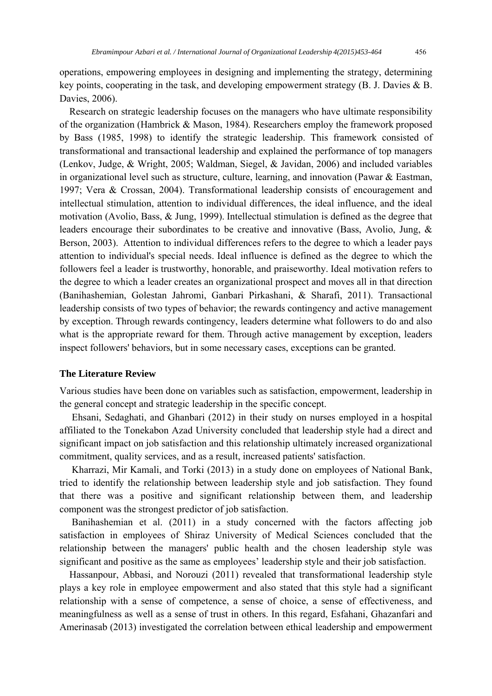operations, empowering employees in designing and implementing the strategy, determining key points, cooperating in the task, and developing empowerment strategy (B. J. Davies & B. Davies, 2006).

 Research on strategic leadership focuses on the managers who have ultimate responsibility of the organization (Hambrick & Mason, 1984). Researchers employ the framework proposed by Bass (1985, 1998) to identify the strategic leadership. This framework consisted of transformational and transactional leadership and explained the performance of top managers (Lenkov, Judge, & Wright, 2005; Waldman, Siegel, & Javidan, 2006) and included variables in organizational level such as structure, culture, learning, and innovation (Pawar & Eastman, 1997; Vera & Crossan, 2004). Transformational leadership consists of encouragement and intellectual stimulation, attention to individual differences, the ideal influence, and the ideal motivation (Avolio, Bass, & Jung, 1999). Intellectual stimulation is defined as the degree that leaders encourage their subordinates to be creative and innovative (Bass, Avolio, Jung, & Berson, 2003). Attention to individual differences refers to the degree to which a leader pays attention to individual's special needs. Ideal influence is defined as the degree to which the followers feel a leader is trustworthy, honorable, and praiseworthy. Ideal motivation refers to the degree to which a leader creates an organizational prospect and moves all in that direction (Banihashemian, Golestan Jahromi, Ganbari Pirkashani, & Sharafi, 2011). Transactional leadership consists of two types of behavior; the rewards contingency and active management by exception. Through rewards contingency, leaders determine what followers to do and also what is the appropriate reward for them. Through active management by exception, leaders inspect followers' behaviors, but in some necessary cases, exceptions can be granted.

## **The Literature Review**

Various studies have been done on variables such as satisfaction, empowerment, leadership in the general concept and strategic leadership in the specific concept.

 Ehsani, Sedaghati, and Ghanbari (2012) in their study on nurses employed in a hospital affiliated to the Tonekabon Azad University concluded that leadership style had a direct and significant impact on job satisfaction and this relationship ultimately increased organizational commitment, quality services, and as a result, increased patients' satisfaction.

 Kharrazi, Mir Kamali, and Torki (2013) in a study done on employees of National Bank, tried to identify the relationship between leadership style and job satisfaction. They found that there was a positive and significant relationship between them, and leadership component was the strongest predictor of job satisfaction.

 Banihashemian et al. (2011) in a study concerned with the factors affecting job satisfaction in employees of Shiraz University of Medical Sciences concluded that the relationship between the managers' public health and the chosen leadership style was significant and positive as the same as employees' leadership style and their job satisfaction.

 Hassanpour, Abbasi, and Norouzi (2011) revealed that transformational leadership style plays a key role in employee empowerment and also stated that this style had a significant relationship with a sense of competence, a sense of choice, a sense of effectiveness, and meaningfulness as well as a sense of trust in others. In this regard, Esfahani, Ghazanfari and Amerinasab (2013) investigated the correlation between ethical leadership and empowerment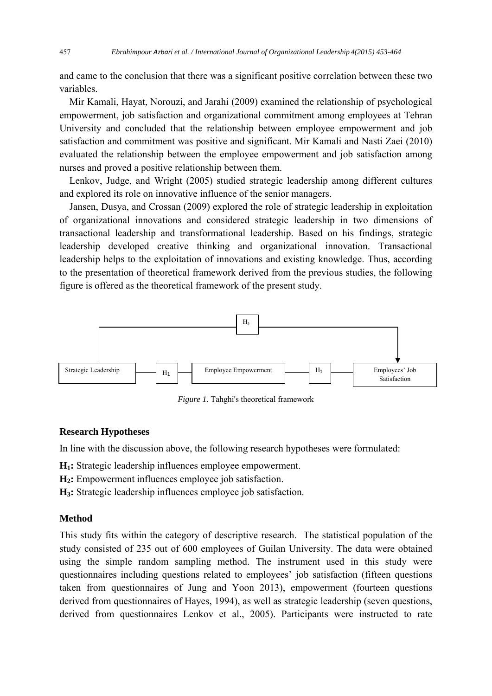and came to the conclusion that there was a significant positive correlation between these two variables.

 Mir Kamali, Hayat, Norouzi, and Jarahi (2009) examined the relationship of psychological empowerment, job satisfaction and organizational commitment among employees at Tehran University and concluded that the relationship between employee empowerment and job satisfaction and commitment was positive and significant. Mir Kamali and Nasti Zaei (2010) evaluated the relationship between the employee empowerment and job satisfaction among nurses and proved a positive relationship between them.

 Lenkov, Judge, and Wright (2005) studied strategic leadership among different cultures and explored its role on innovative influence of the senior managers.

 Jansen, Dusya, and Crossan (2009) explored the role of strategic leadership in exploitation of organizational innovations and considered strategic leadership in two dimensions of transactional leadership and transformational leadership. Based on his findings, strategic leadership developed creative thinking and organizational innovation. Transactional leadership helps to the exploitation of innovations and existing knowledge. Thus, according to the presentation of theoretical framework derived from the previous studies, the following figure is offered as the theoretical framework of the present study.



*Figure 1.* Tahghi's theoretical framework

## **Research Hypotheses**

In line with the discussion above, the following research hypotheses were formulated:

**H1:** Strategic leadership influences employee empowerment.

**H2:** Empowerment influences employee job satisfaction.

**H3:** Strategic leadership influences employee job satisfaction.

#### **Method**

This study fits within the category of descriptive research. The statistical population of the study consisted of 235 out of 600 employees of Guilan University. The data were obtained using the simple random sampling method. The instrument used in this study were questionnaires including questions related to employees' job satisfaction (fifteen questions taken from questionnaires of Jung and Yoon 2013), empowerment (fourteen questions derived from questionnaires of Hayes, 1994), as well as strategic leadership (seven questions, derived from questionnaires Lenkov et al., 2005). Participants were instructed to rate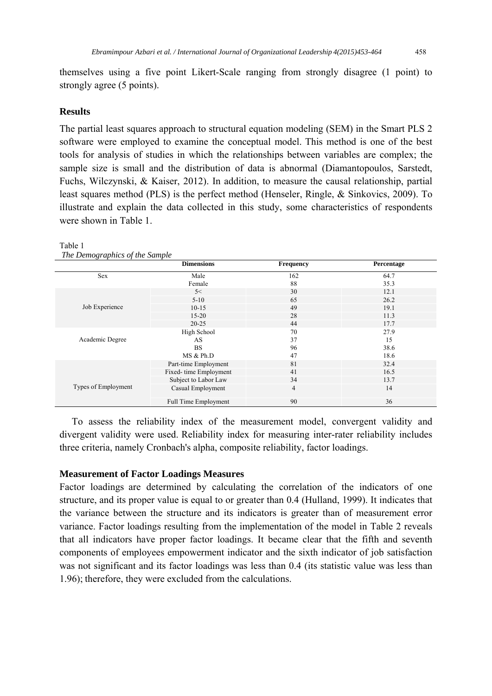themselves using a five point Likert-Scale ranging from strongly disagree (1 point) to strongly agree (5 points).

## **Results**

The partial least squares approach to structural equation modeling (SEM) in the Smart PLS 2 software were employed to examine the conceptual model. This method is one of the best tools for analysis of studies in which the relationships between variables are complex; the sample size is small and the distribution of data is abnormal (Diamantopoulos, Sarstedt, Fuchs, Wilczynski, & Kaiser, 2012). In addition, to measure the causal relationship, partial least squares method (PLS) is the perfect method (Henseler, Ringle, & Sinkovics, 2009). To illustrate and explain the data collected in this study, some characteristics of respondents were shown in Table 1.

|                     | <b>Dimensions</b>           | <b>Frequency</b> | Percentage |
|---------------------|-----------------------------|------------------|------------|
| Sex                 | Male                        | 162              | 64.7       |
|                     | Female                      | 88               | 35.3       |
|                     | 5<                          | 30               | 12.1       |
|                     | $5-10$                      | 65               | 26.2       |
| Job Experience      | $10-15$                     | 49               | 19.1       |
|                     | $15 - 20$                   | 28               | 11.3       |
|                     | $20 - 25$                   | 44               | 17.7       |
|                     | High School                 | 70               | 27.9       |
| Academic Degree     | AS                          | 37               | 15         |
|                     | <b>BS</b>                   | 96               | 38.6       |
|                     | MS & Ph.D                   | 47               | 18.6       |
|                     | Part-time Employment        | 81               | 32.4       |
|                     | Fixed-time Employment       | 41               | 16.5       |
|                     | Subject to Labor Law        | 34               | 13.7       |
| Types of Employment | Casual Employment           | $\overline{4}$   | 14         |
|                     | <b>Full Time Employment</b> | 90               | 36         |

#### Table 1

*The Demographics of the Sample*

 To assess the reliability index of the measurement model, convergent validity and divergent validity were used. Reliability index for measuring inter-rater reliability includes three criteria, namely Cronbach's alpha, composite reliability, factor loadings.

## **Measurement of Factor Loadings Measures**

Factor loadings are determined by calculating the correlation of the indicators of one structure, and its proper value is equal to or greater than 0.4 (Hulland, 1999). It indicates that the variance between the structure and its indicators is greater than of measurement error variance. Factor loadings resulting from the implementation of the model in Table 2 reveals that all indicators have proper factor loadings. It became clear that the fifth and seventh components of employees empowerment indicator and the sixth indicator of job satisfaction was not significant and its factor loadings was less than 0.4 (its statistic value was less than 1.96); therefore, they were excluded from the calculations.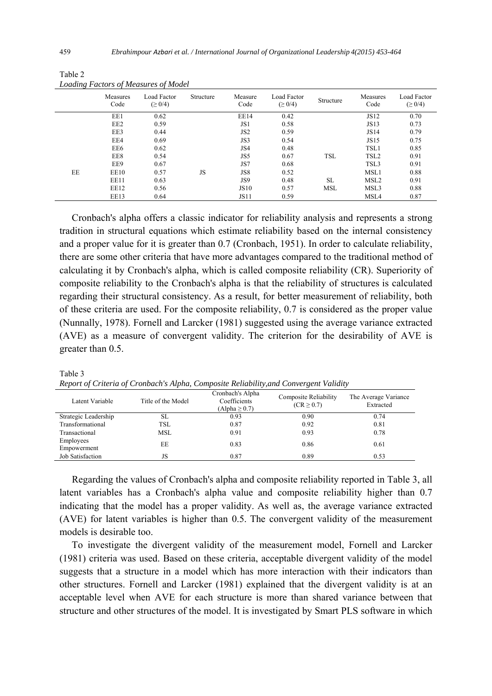|    | Measures<br>Code | Load Factor<br>$( \geq 0/4)$ | Structure | Measure<br>Code | Load Factor<br>$( \geq 0/4)$ | Structure  | Measures<br>Code | Load Factor<br>$( \geq 0/4)$ |
|----|------------------|------------------------------|-----------|-----------------|------------------------------|------------|------------------|------------------------------|
|    | EE1              | 0.62                         |           | EE14            | 0.42                         |            | JS12             | 0.70                         |
|    | EE <sub>2</sub>  | 0.59                         |           | JS1             | 0.58                         |            | <b>JS13</b>      | 0.73                         |
|    | EE3              | 0.44                         |           | JS <sub>2</sub> | 0.59                         |            | JS14             | 0.79                         |
|    | EE4              | 0.69                         |           | JS3             | 0.54                         |            | <b>JS15</b>      | 0.75                         |
|    | EE6              | 0.62                         |           | JS4             | 0.48                         |            | TSL1             | 0.85                         |
|    | EE8              | 0.54                         |           | JS5             | 0.67                         | <b>TSL</b> | TSL <sub>2</sub> | 0.91                         |
|    | EE9              | 0.67                         |           | JS7             | 0.68                         |            | TSL3             | 0.91                         |
| EE | EE10             | 0.57                         | JS        | JS8             | 0.52                         |            | MSL1             | 0.88                         |
|    | EE11             | 0.63                         |           | JS9             | 0.48                         | <b>SL</b>  | MSL <sub>2</sub> | 0.91                         |
|    | EE12             | 0.56                         |           | <b>JS10</b>     | 0.57                         | <b>MSL</b> | MSL3             | 0.88                         |
|    | EE13             | 0.64                         |           | <b>JS11</b>     | 0.59                         |            | MSL4             | 0.87                         |

Table 2 *Loading Factors of Measures of Model* 

 Cronbach's alpha offers a classic indicator for reliability analysis and represents a strong tradition in structural equations which estimate reliability based on the internal consistency and a proper value for it is greater than 0.7 (Cronbach, 1951). In order to calculate reliability, there are some other criteria that have more advantages compared to the traditional method of calculating it by Cronbach's alpha, which is called composite reliability (CR). Superiority of composite reliability to the Cronbach's alpha is that the reliability of structures is calculated regarding their structural consistency. As a result, for better measurement of reliability, both of these criteria are used. For the composite reliability, 0.7 is considered as the proper value (Nunnally, 1978). Fornell and Larcker (1981) suggested using the average variance extracted (AVE) as a measure of convergent validity. The criterion for the desirability of AVE is greater than 0.5.

| Latent Variable          | Title of the Model | Cronbach's Alpha<br>Coefficients<br>$(Alpha \geq 0.7)$ | Composite Reliability<br>$(CR \geq 0.7)$ | The Average Variance<br>Extracted |
|--------------------------|--------------------|--------------------------------------------------------|------------------------------------------|-----------------------------------|
| Strategic Leadership     | SL                 | 0.93                                                   | 0.90                                     | 0.74                              |
| Transformational         | TSL                | 0.87                                                   | 0.92                                     | 0.81                              |
| Transactional            | MSL                | 0.91                                                   | 0.93                                     | 0.78                              |
| Employees<br>Empowerment | EE                 | 0.83                                                   | 0.86                                     | 0.61                              |
| Job Satisfaction         | JS                 | 0.87                                                   | 0.89                                     | 0.53                              |

*Report of Criteria of Cronbach's Alpha, Composite Reliability,and Convergent Validity* 

 Regarding the values of Cronbach's alpha and composite reliability reported in Table 3, all latent variables has a Cronbach's alpha value and composite reliability higher than 0.7 indicating that the model has a proper validity. As well as, the average variance extracted (AVE) for latent variables is higher than 0.5. The convergent validity of the measurement models is desirable too.

 To investigate the divergent validity of the measurement model, Fornell and Larcker (1981) criteria was used. Based on these criteria, acceptable divergent validity of the model suggests that a structure in a model which has more interaction with their indicators than other structures. Fornell and Larcker (1981) explained that the divergent validity is at an acceptable level when AVE for each structure is more than shared variance between that structure and other structures of the model. It is investigated by Smart PLS software in which

Table 3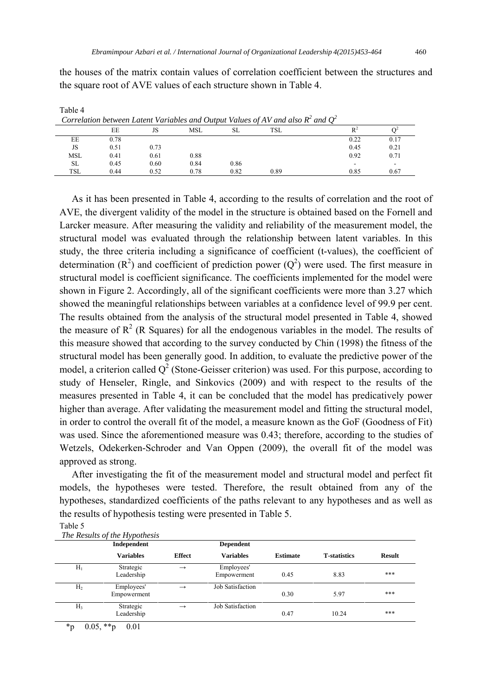the houses of the matrix contain values of correlation coefficient between the structures and the square root of AVE values of each structure shown in Table 4.

|            |      |      |      |      | Correlation between Latent Variables and Output Values of AV and also $R^2$ and $Q^2$ |      |                          |
|------------|------|------|------|------|---------------------------------------------------------------------------------------|------|--------------------------|
|            | EE   | JS   | MSL  | SL   | TSL                                                                                   |      |                          |
| EE         | 0.78 |      |      |      |                                                                                       | 0.22 | 0.17                     |
| JS         | 0.51 | 0.73 |      |      |                                                                                       | 0.45 | 0.21                     |
| <b>MSL</b> | 0.41 | 0.61 | 0.88 |      |                                                                                       | 0.92 | 0.71                     |
| SL         | 0.45 | 0.60 | 0.84 | 0.86 |                                                                                       |      | $\overline{\phantom{0}}$ |
| <b>TSL</b> | 0.44 | 0.52 | 0.78 | 0.82 | 0.89                                                                                  | 0.85 | 0.67                     |

Table 4

 As it has been presented in Table 4, according to the results of correlation and the root of AVE, the divergent validity of the model in the structure is obtained based on the Fornell and Larcker measure. After measuring the validity and reliability of the measurement model, the structural model was evaluated through the relationship between latent variables. In this study, the three criteria including a significance of coefficient (t-values), the coefficient of determination ( $\mathbb{R}^2$ ) and coefficient of prediction power ( $\mathbb{Q}^2$ ) were used. The first measure in structural model is coefficient significance. The coefficients implemented for the model were shown in Figure 2. Accordingly, all of the significant coefficients were more than 3.27 which showed the meaningful relationships between variables at a confidence level of 99.9 per cent. The results obtained from the analysis of the structural model presented in Table 4, showed the measure of  $R^2$  (R Squares) for all the endogenous variables in the model. The results of this measure showed that according to the survey conducted by Chin (1998) the fitness of the structural model has been generally good. In addition, to evaluate the predictive power of the model, a criterion called  $Q^2$  (Stone-Geisser criterion) was used. For this purpose, according to study of Henseler, Ringle, and Sinkovics (2009) and with respect to the results of the measures presented in Table 4, it can be concluded that the model has predicatively power higher than average. After validating the measurement model and fitting the structural model, in order to control the overall fit of the model, a measure known as the GoF (Goodness of Fit) was used. Since the aforementioned measure was 0.43; therefore, according to the studies of Wetzels, Odekerken-Schroder and Van Oppen (2009), the overall fit of the model was approved as strong.

 After investigating the fit of the measurement model and structural model and perfect fit models, the hypotheses were tested. Therefore, the result obtained from any of the hypotheses, standardized coefficients of the paths relevant to any hypotheses and as well as the results of hypothesis testing were presented in Table 5.

| × |  |  |  |
|---|--|--|--|
|---|--|--|--|

| The Results of the Hypothesis |  |
|-------------------------------|--|

|                | Independent               |               | <b>Dependent</b>          |                 |                      |               |
|----------------|---------------------------|---------------|---------------------------|-----------------|----------------------|---------------|
|                | <b>Variables</b>          | <b>Effect</b> | <b>Variables</b>          | <b>Estimate</b> | <b>T</b> -statistics | <b>Result</b> |
| $H_1$          | Strategic<br>Leadership   | $\rightarrow$ | Employees'<br>Empowerment | 0.45            | 8.83                 | ***           |
| H <sub>2</sub> | Employees'<br>Empowerment | $\rightarrow$ | Job Satisfaction          | 0.30            | 5.97                 | ***           |
| Н3             | Strategic<br>Leadership   | $\rightarrow$ | Job Satisfaction          | 0.47            | 10.24                | ***           |

 $*$ p 0.05,  $*$  $*$ p 0.01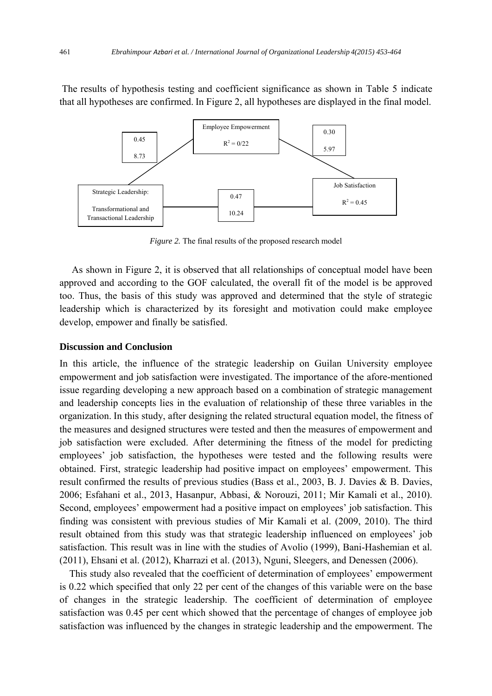The results of hypothesis testing and coefficient significance as shown in Table 5 indicate that all hypotheses are confirmed. In Figure 2, all hypotheses are displayed in the final model.



*Figure 2.* The final results of the proposed research model

 As shown in Figure 2, it is observed that all relationships of conceptual model have been approved and according to the GOF calculated, the overall fit of the model is be approved too. Thus, the basis of this study was approved and determined that the style of strategic leadership which is characterized by its foresight and motivation could make employee develop, empower and finally be satisfied.

## **Discussion and Conclusion**

In this article, the influence of the strategic leadership on Guilan University employee empowerment and job satisfaction were investigated. The importance of the afore-mentioned issue regarding developing a new approach based on a combination of strategic management and leadership concepts lies in the evaluation of relationship of these three variables in the organization. In this study, after designing the related structural equation model, the fitness of the measures and designed structures were tested and then the measures of empowerment and job satisfaction were excluded. After determining the fitness of the model for predicting employees' job satisfaction, the hypotheses were tested and the following results were obtained. First, strategic leadership had positive impact on employees' empowerment. This result confirmed the results of previous studies (Bass et al., 2003, B. J. Davies & B. Davies, 2006; Esfahani et al., 2013, Hasanpur, Abbasi, & Norouzi, 2011; Mir Kamali et al., 2010). Second, employees' empowerment had a positive impact on employees' job satisfaction. This finding was consistent with previous studies of Mir Kamali et al. (2009, 2010). The third result obtained from this study was that strategic leadership influenced on employees' job satisfaction. This result was in line with the studies of Avolio (1999), Bani-Hashemian et al. (2011), Ehsani et al. (2012), Kharrazi et al. (2013), Nguni, Sleegers, and Denessen (2006).

 This study also revealed that the coefficient of determination of employees' empowerment is 0.22 which specified that only 22 per cent of the changes of this variable were on the base of changes in the strategic leadership. The coefficient of determination of employee satisfaction was 0.45 per cent which showed that the percentage of changes of employee job satisfaction was influenced by the changes in strategic leadership and the empowerment. The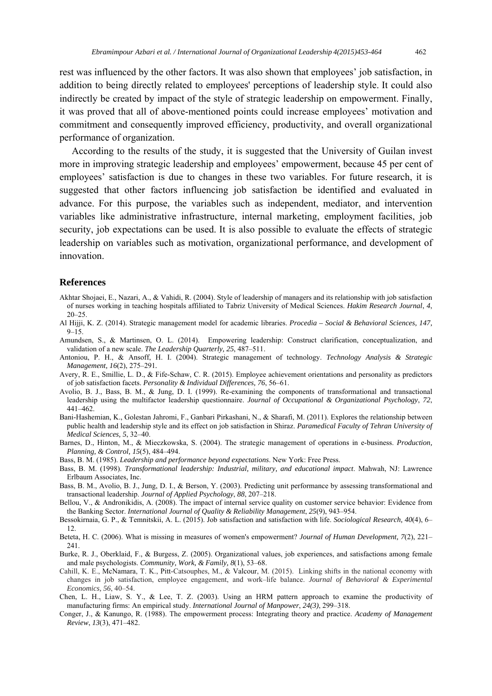rest was influenced by the other factors. It was also shown that employees' job satisfaction, in addition to being directly related to employees' perceptions of leadership style. It could also indirectly be created by impact of the style of strategic leadership on empowerment. Finally, it was proved that all of above-mentioned points could increase employees' motivation and commitment and consequently improved efficiency, productivity, and overall organizational performance of organization.

 According to the results of the study, it is suggested that the University of Guilan invest more in improving strategic leadership and employees' empowerment, because 45 per cent of employees' satisfaction is due to changes in these two variables. For future research, it is suggested that other factors influencing job satisfaction be identified and evaluated in advance. For this purpose, the variables such as independent, mediator, and intervention variables like administrative infrastructure, internal marketing, employment facilities, job security, job expectations can be used. It is also possible to evaluate the effects of strategic leadership on variables such as motivation, organizational performance, and development of innovation.

#### **References**

- Akhtar Shojaei, E., Nazari, A., & Vahidi, R. (2004). Style of leadership of managers and its relationship with job satisfaction of nurses working in teaching hospitals affiliated to Tabriz University of Medical Sciences. *Hakim Research Journal*, *4*,  $20 - 25$ .
- Al Hijji, K. Z. (2014). Strategic management model for academic libraries. *Procedia Social & Behavioral Sciences, 147,*  $9 - 15$ .
- Amundsen, S., & Martinsen, O. L. (2014). Empowering leadership: Construct clarification, conceptualization, and validation of a new scale. *The Leadership Quarterly, 25*, 487–511.
- Antoniou, P. H., & Ansoff, H. I. (2004). Strategic management of technology. *Technology Analysis & Strategic Management, 16*(2), 275–291*.*
- Avery, R. E., Smillie, L. D., & Fife-Schaw, C. R. (2015). Employee achievement orientations and personality as predictors of job satisfaction facets. *Personality & Individual Differences, 76*, 56–61.
- Avolio, B. J., Bass, B. M., & Jung, D. I. (1999). Re-examining the components of transformational and transactional leadership using the multifactor leadership questionnaire. *Journal of Occupational & Organizational Psychology*, *72*, 441–462.
- Bani-Hashemian, K., Golestan Jahromi, F., Ganbari Pirkashani, N., & Sharafi, M. (2011). Explores the relationship between public health and leadership style and its effect on job satisfaction in Shiraz. *Paramedical Faculty of Tehran University of Medical Sciences, 5*, 32–40.
- Barnes, D., Hinton, M., & Mieczkowska, S. (2004). The strategic management of operations in e-business. *Production, Planning, & Control, 15*(5), 484–494.
- Bass, B. M. (1985). *Leadership and performance beyond expectations*. New York: Free Press.
- Bass, B. M. (1998). *Transformational leadership: Industrial, military, and educational impact*. Mahwah, NJ: Lawrence Erlbaum Associates, Inc.
- Bass, B. M., Avolio, B. J., Jung, D. I., & Berson, Y. (2003). Predicting unit performance by assessing transformational and transactional leadership. *Journal of Applied Psychology*, *88*, 207–218.
- Bellou, V., & Andronikidis, A. (2008). The impact of internal service quality on customer service behavior: Evidence from the Banking Sector. *International Journal of Quality & Reliability Management*, *25*(9), 943–954.
- Bessokirnaia, G. P., & Temnitskii, A. L. (2015). Job satisfaction and satisfaction with life. *Sociological Research, 40*(4), 6– 12.
- Beteta, H. C. (2006). What is missing in measures of women's empowerment? *Journal of Human Development, 7*(2), 221– 241.
- Burke, R. J., Oberklaid, F., & Burgess, Z. (2005). Organizational values, job experiences, and satisfactions among female and male psychologists. *Community, Work, & Family, 8*(1), 53–68.
- Cahill, K. E., McNamara, T. K., Pitt-Catsouphes, M., & Valcour, M. (2015). Linking shifts in the national economy with changes in job satisfaction, employee engagement, and work–life balance. *Journal of Behavioral & Experimental Economics, 56*, 40–54.
- Chen, L. H., Liaw, S. Y., & Lee, T. Z. (2003). Using an HRM pattern approach to examine the productivity of manufacturing firms: An empirical study. *International Journal of Manpower*, *24(3)*, 299–318.
- Conger, J., & Kanungo, R. (1988). The empowerment process: Integrating theory and practice. *Academy of Management Review*, *13*(3), 471–482.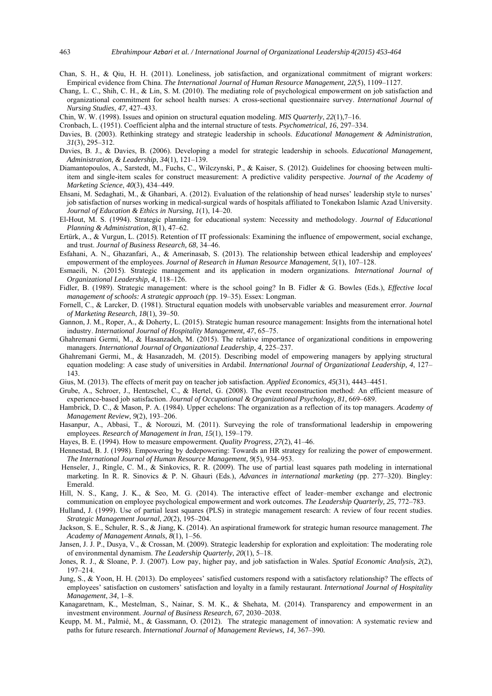- Chan, S. H., & Qiu, H. H. (2011). Loneliness, job satisfaction, and organizational commitment of migrant workers: Empirical evidence from China. *The International Journal of Human Resource Management, 22*(5), 1109–1127.
- Chang, L. C., Shih, C. H., & Lin, S. M. (2010). The mediating role of psychological empowerment on job satisfaction and organizational commitment for school health nurses: A cross-sectional questionnaire survey. *International Journal of Nursing Studies*, *47*, 427–433.
- Chin, W. W. (1998). Issues and opinion on structural equation modeling. *MIS Quarterly*, *22*(1),7–16.
- Cronbach, L. (1951). Coefficient alpha and the internal structure of tests. *Psychometrical*, *16*, 297–334.
- Davies, B. (2003). Rethinking strategy and strategic leadership in schools. *Educational Management & Administration*, *31*(3), 295–312.
- Davies, B. J., & Davies, B. (2006). Developing a model for strategic leadership in schools. *Educational Management, Administration, & Leadership*, *34*(1), 121–139.
- Diamantopoulos, A., Sarstedt, M., Fuchs, C., Wilczynski, P., & Kaiser, S. (2012). Guidelines for choosing between multiitem and single-item scales for construct measurement: A predictive validity perspective. *Journal of the Academy of Marketing Science*, *40*(3), 434–449.
- Ehsani, M. Sedaghati, M., & Ghanbari, A. (2012). Evaluation of the relationship of head nurses' leadership style to nurses' job satisfaction of nurses working in medical-surgical wards of hospitals affiliated to Tonekabon Islamic Azad University. *Journal of Education & Ethics in Nursing*, *1*(1), 14–20.
- El-Hout, M. S. (1994). Strategic planning for educational system: Necessity and methodology. *Journal of Educational Planning & Administration*, *8*(1), 47–62.
- Ertürk, A., & Vurgun, L. (2015). Retention of IT professionals: Examining the influence of empowerment, social exchange, and trust. *Journal of Business Research, 68*, 34–46.
- Esfahani, A. N., Ghazanfari, A., & Amerinasab, S. (2013). The relationship between ethical leadership and employees' empowerment of the employees. *Journal of Research in Human Resource Management*, *5*(1), 107–128.
- Esmaeili, N. (2015). Strategic management and its application in modern organizations. *International Journal of Organizational Leadership, 4*, 118–126.
- Fidler, B. (1989). Strategic management: where is the school going? In B. Fidler & G. Bowles (Eds.), *Effective local management of schools: A strategic approach* (pp. 19–35). Essex: Longman.
- Fornell, C., & Larcker, D. (1981). Structural equation models with unobservable variables and measurement error. *Journal of Marketing Research*, *18*(1), 39–50.
- Gannon, J. M., Roper, A., & Doherty, L. (2015). Strategic human resource management: Insights from the international hotel industry. *International Journal of Hospitality Management, 47*, 65–75.
- Ghahremani Germi, M., & Hasanzadeh, M. (2015). The relative importance of organizational conditions in empowering managers. *International Journal of Organizational Leadership, 4*, 225–237.
- Ghahremani Germi, M., & Hasanzadeh, M. (2015). Describing model of empowering managers by applying structural equation modeling: A case study of universities in Ardabil. *International Journal of Organizational Leadership, 4*, 127– 143.
- Gius, M. (2013). The effects of merit pay on teacher job satisfaction. *Applied Economics, 45*(31), 4443–4451.
- Grube, A., Schroer, J., Hentzschel, C., & Hertel, G. (2008). The event reconstruction method: An efficient measure of experience-based job satisfaction. *Journal of Occupational & Organizational Psychology, 81*, 669–689.
- Hambrick, D. C., & Mason, P. A. (1984). Upper echelons: The organization as a reflection of its top managers. *Academy of Management Review*, *9*(2), 193–206.
- Hasanpur, A., Abbasi, T., & Norouzi, M. (2011). Surveying the role of transformational leadership in empowering employees. *Research of Management in Iran*, *15*(1), 159–179.
- Hayes, B. E. (1994). How to measure empowerment. *Quality Progress*, *27*(2), 41–46.
- Hennestad, B. J. (1998). Empowering by dedepowering: Towards an HR strategy for realizing the power of empowerment. *The International Journal of Human Resource Management, 9*(5), 934–953.
- Henseler, J., Ringle, C. M., & Sinkovics, R. R. (2009). The use of partial least squares path modeling in international marketing. In R. R. Sinovics & P. N. Ghauri (Eds.), *Advances in international marketing* (pp. 277–320). Bingley: Emerald.
- Hill, N. S., Kang, J. K., & Seo, M. G. (2014). The interactive effect of leader–member exchange and electronic communication on employee psychological empowerment and work outcomes. *The Leadership Quarterly, 25*, 772–783.
- Hulland, J. (1999). Use of partial least squares (PLS) in strategic management research: A review of four recent studies. *Strategic Management Journal*, *20*(2), 195–204.
- Jackson, S. E., Schuler, R. S., & Jiang, K. (2014). An aspirational framework for strategic human resource management. *The Academy of Management Annals, 8*(1), 1–56.
- Jansen, J. J. P., Dusya, V., & Crossan, M. (2009). Strategic leadership for exploration and exploitation: The moderating role of environmental dynamism. *The Leadership Quarterly*, *20*(1), 5–18.
- Jones, R. J., & Sloane, P. J. (2007). Low pay, higher pay, and job satisfaction in Wales. *Spatial Economic Analysis, 2*(2), 197–214.
- Jung, S., & Yoon, H. H. (2013). Do employees' satisfied customers respond with a satisfactory relationship? The effects of employees' satisfaction on customers' satisfaction and loyalty in a family restaurant. *International Journal of Hospitality Management*, *34*, 1–8.
- Kanagaretnam, K., Mestelman, S., Nainar, S. M. K., & Shehata, M. (2014). Transparency and empowerment in an investment environment. *Journal of Business Research, 67*, 2030–2038.
- Keupp, M. M., Palmié, M., & Gassmann, O. (2012). The strategic management of innovation: A systematic review and paths for future research. *International Journal of Management Reviews, 14, 367–390.*